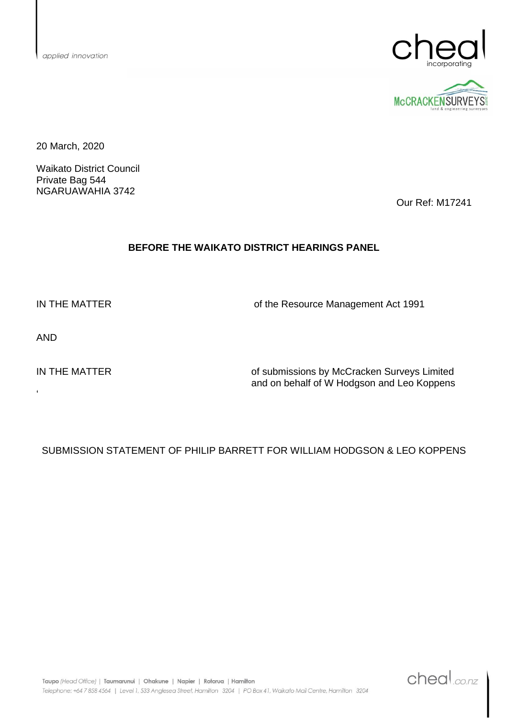



20 March, 2020

Waikato District Council Private Bag 544 NGARUAWAHIA 3742

Our Ref: M17241

#### **BEFORE THE WAIKATO DISTRICT HEARINGS PANEL**

IN THE MATTER **OF A CONSTRUCTER** of the Resource Management Act 1991

AND

 $\epsilon$ 

IN THE MATTER **IN THE MATTER** of submissions by McCracken Surveys Limited and on behalf of W Hodgson and Leo Koppens

## SUBMISSION STATEMENT OF PHILIP BARRETT FOR WILLIAM HODGSON & LEO KOPPENS

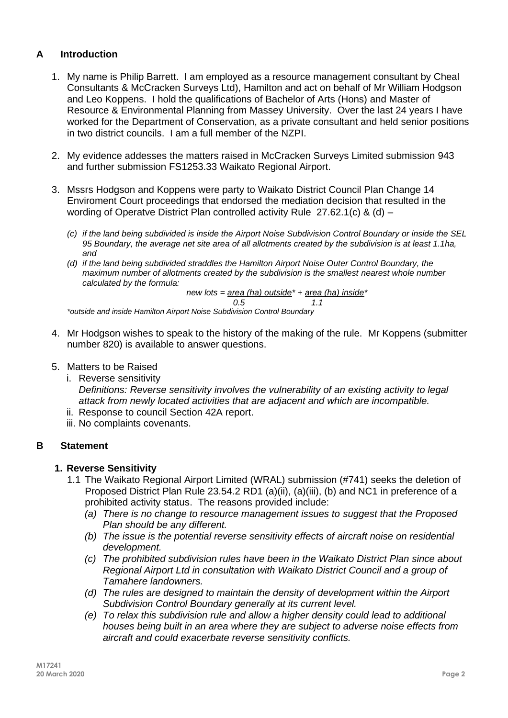# **A Introduction**

- 1. My name is Philip Barrett. I am employed as a resource management consultant by Cheal Consultants & McCracken Surveys Ltd), Hamilton and act on behalf of Mr William Hodgson and Leo Koppens. I hold the qualifications of Bachelor of Arts (Hons) and Master of Resource & Environmental Planning from Massey University. Over the last 24 years I have worked for the Department of Conservation, as a private consultant and held senior positions in two district councils. I am a full member of the NZPI.
- 2. My evidence addesses the matters raised in McCracken Surveys Limited submission 943 and further submission FS1253.33 Waikato Regional Airport.
- 3. Mssrs Hodgson and Koppens were party to Waikato District Council Plan Change 14 Enviroment Court proceedings that endorsed the mediation decision that resulted in the wording of Operatve District Plan controlled activity Rule 27.62.1(c) & (d) –
	- *(c) if the land being subdivided is inside the Airport Noise Subdivision Control Boundary or inside the SEL 95 Boundary, the average net site area of all allotments created by the subdivision is at least 1.1ha, and*
	- *(d) if the land being subdivided straddles the Hamilton Airport Noise Outer Control Boundary, the maximum number of allotments created by the subdivision is the smallest nearest whole number calculated by the formula:*

*new lots = area (ha) outside\* + area (ha) inside\* 0.5 1.1*

*\*outside and inside Hamilton Airport Noise Subdivision Control Boundary*

- 4. Mr Hodgson wishes to speak to the history of the making of the rule. Mr Koppens (submitter number 820) is available to answer questions.
- 5. Matters to be Raised
	- i. Reverse sensitivity *Definitions: Reverse sensitivity involves the vulnerability of an existing activity to legal attack from newly located activities that are adjacent and which are incompatible.*
	- ii. Response to council Section 42A report.
	- iii. No complaints covenants.

## **B Statement**

#### **1. Reverse Sensitivity**

- 1.1 The Waikato Regional Airport Limited (WRAL) submission (#741) seeks the deletion of Proposed District Plan Rule 23.54.2 RD1 (a)(ii), (a)(iii), (b) and NC1 in preference of a prohibited activity status. The reasons provided include:
	- *(a) There is no change to resource management issues to suggest that the Proposed Plan should be any different.*
	- *(b) The issue is the potential reverse sensitivity effects of aircraft noise on residential development.*
	- *(c) The prohibited subdivision rules have been in the Waikato District Plan since about Regional Airport Ltd in consultation with Waikato District Council and a group of Tamahere landowners.*
	- *(d) The rules are designed to maintain the density of development within the Airport Subdivision Control Boundary generally at its current level.*
	- *(e) To relax this subdivision rule and allow a higher density could lead to additional houses being built in an area where they are subject to adverse noise effects from aircraft and could exacerbate reverse sensitivity conflicts.*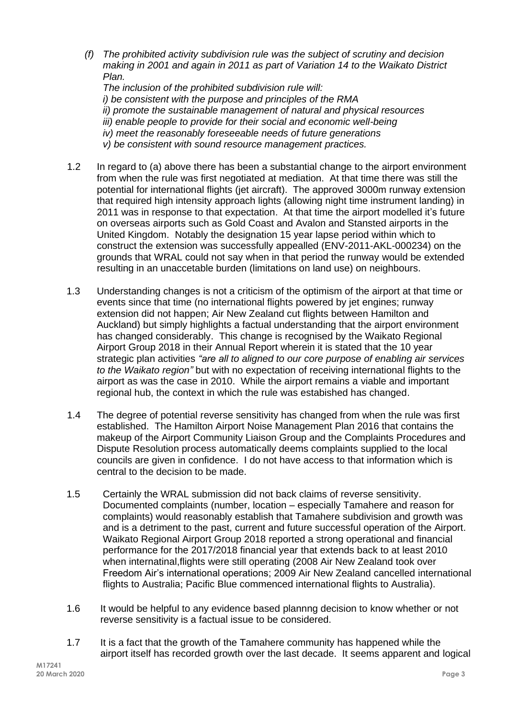*(f) The prohibited activity subdivision rule was the subject of scrutiny and decision making in 2001 and again in 2011 as part of Variation 14 to the Waikato District Plan.*

*The inclusion of the prohibited subdivision rule will: i) be consistent with the purpose and principles of the RMA ii) promote the sustainable management of natural and physical resources iii) enable people to provide for their social and economic well-being iv) meet the reasonably foreseeable needs of future generations v) be consistent with sound resource management practices.*

- 1.2 In regard to (a) above there has been a substantial change to the airport environment from when the rule was first negotiated at mediation. At that time there was still the potential for international flights (jet aircraft). The approved 3000m runway extension that required high intensity approach lights (allowing night time instrument landing) in 2011 was in response to that expectation. At that time the airport modelled it's future on overseas airports such as Gold Coast and Avalon and Stansted airports in the United Kingdom. Notably the designation 15 year lapse period within which to construct the extension was successfully appealled (ENV-2011-AKL-000234) on the grounds that WRAL could not say when in that period the runway would be extended resulting in an unaccetable burden (limitations on land use) on neighbours.
- 1.3 Understanding changes is not a criticism of the optimism of the airport at that time or events since that time (no international flights powered by jet engines; runway extension did not happen; Air New Zealand cut flights between Hamilton and Auckland) but simply highlights a factual understanding that the airport environment has changed considerably. This change is recognised by the Waikato Regional Airport Group 2018 in their Annual Report wherein it is stated that the 10 year strategic plan activities *"are all to aligned to our core purpose of enabling air services to the Waikato region"* but with no expectation of receiving international flights to the airport as was the case in 2010. While the airport remains a viable and important regional hub, the context in which the rule was estabished has changed.
- 1.4 The degree of potential reverse sensitivity has changed from when the rule was first established. The Hamilton Airport Noise Management Plan 2016 that contains the makeup of the Airport Community Liaison Group and the Complaints Procedures and Dispute Resolution process automatically deems complaints supplied to the local councils are given in confidence. I do not have access to that information which is central to the decision to be made.
- 1.5 Certainly the WRAL submission did not back claims of reverse sensitivity. Documented complaints (number, location – especially Tamahere and reason for complaints) would reasonably establish that Tamahere subdivision and growth was and is a detriment to the past, current and future successful operation of the Airport. Waikato Regional Airport Group 2018 reported a strong operational and financial performance for the 2017/2018 financial year that extends back to at least 2010 when internatinal,flights were still operating (2008 Air New Zealand took over Freedom Air's international operations; 2009 Air New Zealand cancelled international flights to Australia; Pacific Blue commenced international flights to Australia).
- 1.6 It would be helpful to any evidence based plannng decision to know whether or not reverse sensitivity is a factual issue to be considered.
- 1.7 It is a fact that the growth of the Tamahere community has happened while the airport itself has recorded growth over the last decade. It seems apparent and logical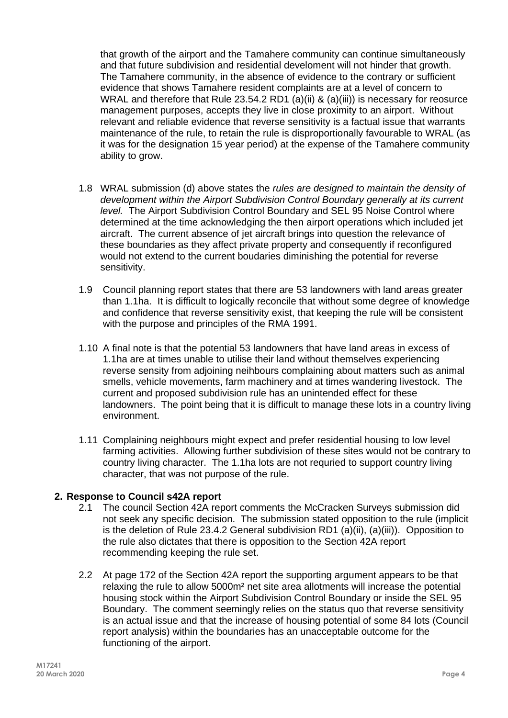that growth of the airport and the Tamahere community can continue simultaneously and that future subdivision and residential develoment will not hinder that growth. The Tamahere community, in the absence of evidence to the contrary or sufficient evidence that shows Tamahere resident complaints are at a level of concern to WRAL and therefore that Rule 23.54.2 RD1 (a)(ii) & (a)(iii)) is necessary for reosurce management purposes, accepts they live in close proximity to an airport. Without relevant and reliable evidence that reverse sensitivity is a factual issue that warrants maintenance of the rule, to retain the rule is disproportionally favourable to WRAL (as it was for the designation 15 year period) at the expense of the Tamahere community ability to grow.

- 1.8 WRAL submission (d) above states the *rules are designed to maintain the density of development within the Airport Subdivision Control Boundary generally at its current level.* The Airport Subdivision Control Boundary and SEL 95 Noise Control where determined at the time acknowledging the then airport operations which included jet aircraft. The current absence of jet aircraft brings into question the relevance of these boundaries as they affect private property and consequently if reconfigured would not extend to the current boudaries diminishing the potential for reverse sensitivity.
- 1.9 Council planning report states that there are 53 landowners with land areas greater than 1.1ha. It is difficult to logically reconcile that without some degree of knowledge and confidence that reverse sensitivity exist, that keeping the rule will be consistent with the purpose and principles of the RMA 1991.
- 1.10 A final note is that the potential 53 landowners that have land areas in excess of 1.1ha are at times unable to utilise their land without themselves experiencing reverse sensity from adjoining neihbours complaining about matters such as animal smells, vehicle movements, farm machinery and at times wandering livestock. The current and proposed subdivision rule has an unintended effect for these landowners. The point being that it is difficult to manage these lots in a country living environment.
- 1.11 Complaining neighbours might expect and prefer residential housing to low level farming activities. Allowing further subdivision of these sites would not be contrary to country living character. The 1.1ha lots are not requried to support country living character, that was not purpose of the rule.

## **2. Response to Council s42A report**

- 2.1 The council Section 42A report comments the McCracken Surveys submission did not seek any specific decision. The submission stated opposition to the rule (implicit is the deletion of Rule 23.4.2 General subdivision RD1 (a)(ii), (a)(iii)). Opposition to the rule also dictates that there is opposition to the Section 42A report recommending keeping the rule set.
- 2.2 At page 172 of the Section 42A report the supporting argument appears to be that relaxing the rule to allow 5000m² net site area allotments will increase the potential housing stock within the Airport Subdivision Control Boundary or inside the SEL 95 Boundary. The comment seemingly relies on the status quo that reverse sensitivity is an actual issue and that the increase of housing potential of some 84 lots (Council report analysis) within the boundaries has an unacceptable outcome for the functioning of the airport.